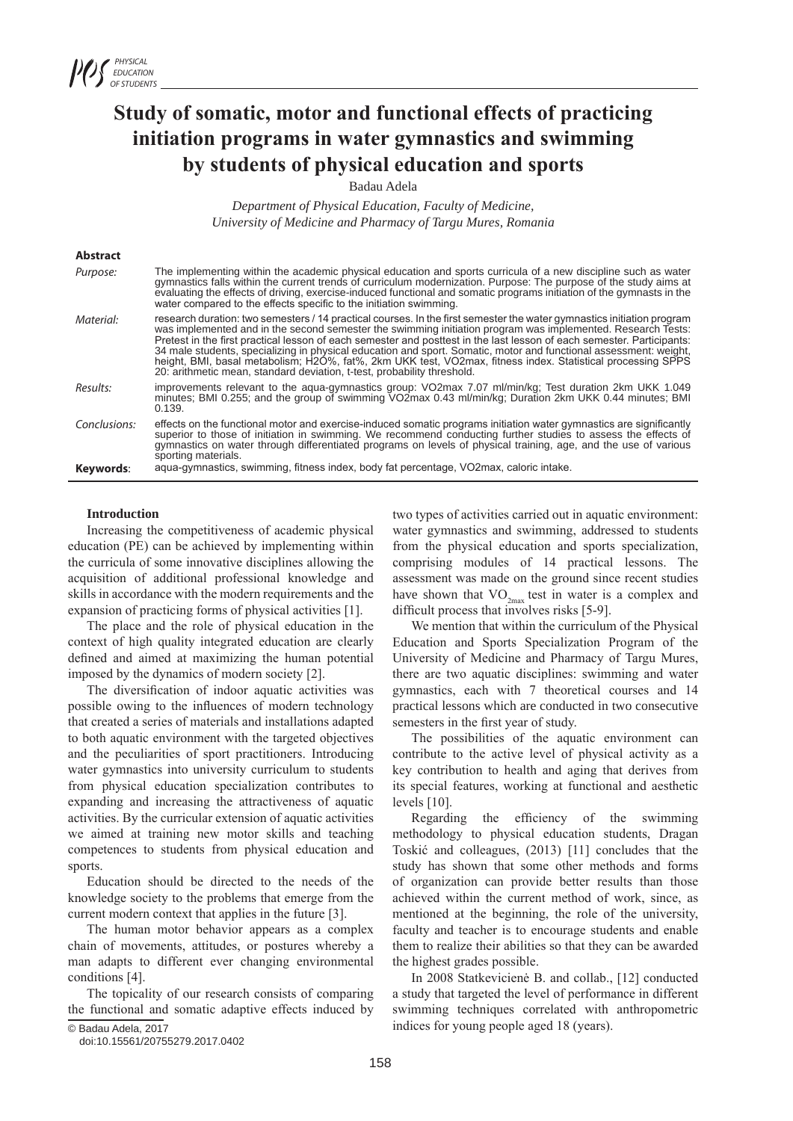# **Study of somatic, motor and functional effects of practicing initiation programs in water gymnastics and swimming by students of physical education and sports**

Badau Adela

*Department of Physical Education, Faculty of Medicine, University of Medicine and Pharmacy of Targu Mures, Romania*

# **Abstract**

| Keywords:    | sporting materials.<br>agua-gymnastics, swimming, fitness index, body fat percentage, VO2max, caloric intake.                                                                                                                                                                                                                                                                                                                                                                                                                                                                                                                                                                  |
|--------------|--------------------------------------------------------------------------------------------------------------------------------------------------------------------------------------------------------------------------------------------------------------------------------------------------------------------------------------------------------------------------------------------------------------------------------------------------------------------------------------------------------------------------------------------------------------------------------------------------------------------------------------------------------------------------------|
| Conclusions: | effects on the functional motor and exercise-induced somatic programs initiation water gymnastics are significantly<br>superior to those of initiation in swimming. We recommend conducting further studies to assess the effects of<br>gymnastics on water through differentiated programs on levels of physical training, age, and the use of various                                                                                                                                                                                                                                                                                                                        |
| Results:     | improvements relevant to the agua-gymnastics group: VO2max 7.07 ml/min/kg; Test duration 2km UKK 1.049<br>minutes; BMI 0.255; and the group of swimming VO2max 0.43 ml/min/kg; Duration 2km UKK 0.44 minutes; BMI<br>0.139.                                                                                                                                                                                                                                                                                                                                                                                                                                                    |
| Material:    | research duration: two semesters / 14 practical courses. In the first semester the water gymnastics initiation program<br>was implemented and in the second semester the swimming initiation program was implemented. Research Tests:<br>Pretest in the first practical lesson of each semester and posttest in the last lesson of each semester. Participants:<br>34 male students, specializing in physical education and sport. Somatic, motor and functional assessment: weight,<br>height, BMI, basal metabolism; H2O%, fat%, 2km UKK test, VO2max, fitness index. Statistical processing SPPS<br>20: arithmetic mean, standard deviation, t-test, probability threshold. |
| Purpose:     | The implementing within the academic physical education and sports curricula of a new discipline such as water<br>gymnastics falls within the current trends of curriculum modernization. Purpose: The purpose of the study aims at<br>evaluating the effects of driving, exercise-induced functional and somatic programs initiation of the gymnasts in the<br>water compared to the effects specific to the initiation swimming.                                                                                                                                                                                                                                             |

#### **Introduction**

Increasing the competitiveness of academic physical education (PE) can be achieved by implementing within the curricula of some innovative disciplines allowing the acquisition of additional professional knowledge and skills in accordance with the modern requirements and the expansion of practicing forms of physical activities [1].

The place and the role of physical education in the context of high quality integrated education are clearly defined and aimed at maximizing the human potential imposed by the dynamics of modern society [2].

The diversification of indoor aquatic activities was possible owing to the influences of modern technology that created a series of materials and installations adapted to both aquatic environment with the targeted objectives and the peculiarities of sport practitioners. Introducing water gymnastics into university curriculum to students from physical education specialization contributes to expanding and increasing the attractiveness of aquatic activities. By the curricular extension of aquatic activities we aimed at training new motor skills and teaching competences to students from physical education and sports.

Education should be directed to the needs of the knowledge society to the problems that emerge from the current modern context that applies in the future [3].

The human motor behavior appears as a complex chain of movements, attitudes, or postures whereby a man adapts to different ever changing environmental conditions [4].

The topicality of our research consists of comparing the functional and somatic adaptive effects induced by

doi:10.15561/20755279.2017.0402

two types of activities carried out in aquatic environment: water gymnastics and swimming, addressed to students from the physical education and sports specialization, comprising modules of 14 practical lessons. The assessment was made on the ground since recent studies have shown that  $VO_{2m}$  test in water is a complex and difficult process that involves risks [5-9].

We mention that within the curriculum of the Physical Education and Sports Specialization Program of the University of Medicine and Pharmacy of Targu Mures, there are two aquatic disciplines: swimming and water gymnastics, each with 7 theoretical courses and 14 practical lessons which are conducted in two consecutive semesters in the first year of study.

The possibilities of the aquatic environment can contribute to the active level of physical activity as a key contribution to health and aging that derives from its special features, working at functional and aesthetic levels [10].

Regarding the efficiency of the swimming methodology to physical education students, Dragan Toskić and colleagues, (2013) [11] concludes that the study has shown that some other methods and forms of organization can provide better results than those achieved within the current method of work, since, as mentioned at the beginning, the role of the university, faculty and teacher is to encourage students and enable them to realize their abilities so that they can be awarded the highest grades possible.

In 2008 Statkevicienė B. and collab., [12] conducted a study that targeted the level of performance in different swimming techniques correlated with anthropometric indices for young people aged 18 (years).

<sup>©</sup> Badau Adela, 2017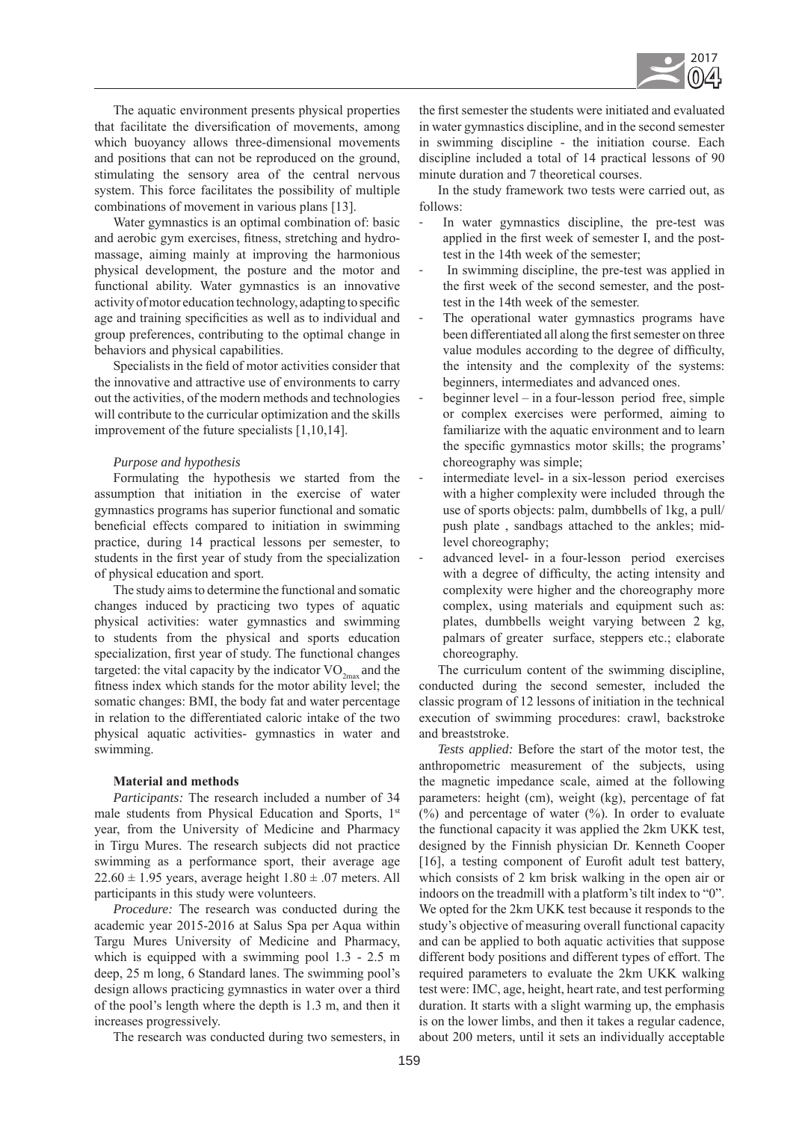

The aquatic environment presents physical properties that facilitate the diversification of movements, among which buoyancy allows three-dimensional movements and positions that can not be reproduced on the ground, stimulating the sensory area of the central nervous system. This force facilitates the possibility of multiple combinations of movement in various plans [13].

Water gymnastics is an optimal combination of: basic and aerobic gym exercises, fitness, stretching and hydromassage, aiming mainly at improving the harmonious physical development, the posture and the motor and functional ability. Water gymnastics is an innovative activity of motor education technology, adapting to specific age and training specificities as well as to individual and group preferences, contributing to the optimal change in behaviors and physical capabilities.

Specialists in the field of motor activities consider that the innovative and attractive use of environments to carry out the activities, of the modern methods and technologies will contribute to the curricular optimization and the skills improvement of the future specialists [1,10,14].

## *Purpose and hypothesis*

Formulating the hypothesis we started from the assumption that initiation in the exercise of water gymnastics programs has superior functional and somatic beneficial effects compared to initiation in swimming practice, during 14 practical lessons per semester, to students in the first year of study from the specialization of physical education and sport.

The study aims to determine the functional and somatic changes induced by practicing two types of aquatic physical activities: water gymnastics and swimming to students from the physical and sports education specialization, first year of study. The functional changes targeted: the vital capacity by the indicator  $VO_{2mn}$  and the fitness index which stands for the motor ability level; the somatic changes: BMI, the body fat and water percentage in relation to the differentiated caloric intake of the two physical aquatic activities- gymnastics in water and swimming.

## **Material and methods**

*Participants:* The research included a number of 34 male students from Physical Education and Sports, 1<sup>st</sup> year, from the University of Medicine and Pharmacy in Tirgu Mures. The research subjects did not practice swimming as a performance sport, their average age  $22.60 \pm 1.95$  years, average height  $1.80 \pm .07$  meters. All participants in this study were volunteers.

*Procedure:* The research was conducted during the academic year 2015-2016 at Salus Spa per Aqua within Targu Mures University of Medicine and Pharmacy, which is equipped with a swimming pool  $1.3 - 2.5$  m deep, 25 m long, 6 Standard lanes. The swimming pool's design allows practicing gymnastics in water over a third of the pool's length where the depth is 1.3 m, and then it increases progressively.

The research was conducted during two semesters, in

the first semester the students were initiated and evaluated in water gymnastics discipline, and in the second semester in swimming discipline - the initiation course. Each discipline included a total of 14 practical lessons of 90 minute duration and 7 theoretical courses.

In the study framework two tests were carried out, as follows:

- In water gymnastics discipline, the pre-test was applied in the first week of semester I, and the posttest in the 14th week of the semester;
- In swimming discipline, the pre-test was applied in the first week of the second semester, and the posttest in the 14th week of the semester.
- The operational water gymnastics programs have been differentiated all along the first semester on three value modules according to the degree of difficulty, the intensity and the complexity of the systems: beginners, intermediates and advanced ones.
- beginner level in a four-lesson period free, simple or complex exercises were performed, aiming to familiarize with the aquatic environment and to learn the specific gymnastics motor skills; the programs' choreography was simple;
- intermediate level- in a six-lesson period exercises with a higher complexity were included through the use of sports objects: palm, dumbbells of 1kg, a pull/ push plate , sandbags attached to the ankles; midlevel choreography;
- advanced level- in a four-lesson period exercises with a degree of difficulty, the acting intensity and complexity were higher and the choreography more complex, using materials and equipment such as: plates, dumbbells weight varying between 2 kg, palmars of greater surface, steppers etc.; elaborate choreography.

The curriculum content of the swimming discipline, conducted during the second semester, included the classic program of 12 lessons of initiation in the technical execution of swimming procedures: crawl, backstroke and breaststroke.

*Tests applied:* Before the start of the motor test, the anthropometric measurement of the subjects, using the magnetic impedance scale, aimed at the following parameters: height (cm), weight (kg), percentage of fat  $(\%)$  and percentage of water  $(\%)$ . In order to evaluate the functional capacity it was applied the 2km UKK test, designed by the Finnish physician Dr. Kenneth Cooper [16], a testing component of Eurofit adult test battery, which consists of 2 km brisk walking in the open air or indoors on the treadmill with a platform's tilt index to "0". We opted for the 2km UKK test because it responds to the study's objective of measuring overall functional capacity and can be applied to both aquatic activities that suppose different body positions and different types of effort. The required parameters to evaluate the 2km UKK walking test were: IMC, age, height, heart rate, and test performing duration. It starts with a slight warming up, the emphasis is on the lower limbs, and then it takes a regular cadence, about 200 meters, until it sets an individually acceptable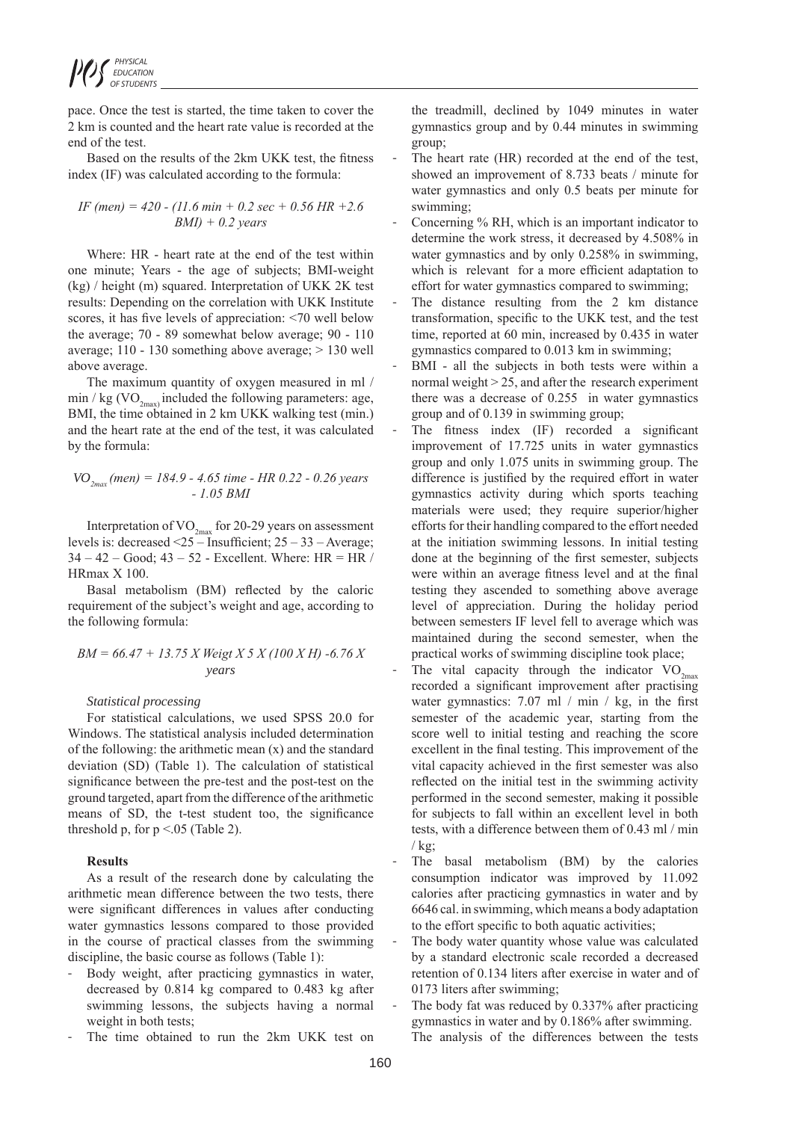pace. Once the test is started, the time taken to cover the 2 km is counted and the heart rate value is recorded at the end of the test.

Based on the results of the 2km UKK test, the fitness index (IF) was calculated according to the formula:

*IF (men) = 420 - (11.6 min + 0.2 sec + 0.56 HR +2.6 BMI) + 0.2 years*

Where: HR - heart rate at the end of the test within one minute; Years - the age of subjects; BMI-weight (kg) / height (m) squared. Interpretation of UKK 2K test results: Depending on the correlation with UKK Institute scores, it has five levels of appreciation: <70 well below the average; 70 - 89 somewhat below average; 90 - 110 average; 110 - 130 something above average; > 130 well above average.

The maximum quantity of oxygen measured in ml /  $\min / kg$  (VO<sub>2max)</sub> included the following parameters: age, BMI, the time obtained in 2 km UKK walking test (min.) and the heart rate at the end of the test, it was calculated by the formula:

$$
VO_{2max}(men) = 184.9 - 4.65 time - HR 0.22 - 0.26 years
$$
  
- 1.05 BMI

Interpretation of  $VO_{2max}$  for 20-29 years on assessment levels is: decreased <25 – Insufficient; 25 – 33 – Average;  $34 - 42 - Good$ ;  $43 - 52$  - Excellent. Where: HR = HR / HRmax X 100.

Basal metabolism (BM) reflected by the caloric requirement of the subject's weight and age, according to the following formula:

$$
BM = 66.47 + 13.75 X Weight X 5 X (100 X H) -6.76 X
$$
  
years

## *Statistical processing*

For statistical calculations, we used SPSS 20.0 for Windows. The statistical analysis included determination of the following: the arithmetic mean (x) and the standard deviation (SD) (Table 1). The calculation of statistical significance between the pre-test and the post-test on the ground targeted, apart from the difference of the arithmetic means of SD, the t-test student too, the significance threshold p, for  $p \le 0.05$  (Table 2).

#### **Results**

As a result of the research done by calculating the arithmetic mean difference between the two tests, there were significant differences in values after conducting water gymnastics lessons compared to those provided in the course of practical classes from the swimming discipline, the basic course as follows (Table 1):

- Body weight, after practicing gymnastics in water, decreased by 0.814 kg compared to 0.483 kg after swimming lessons, the subjects having a normal weight in both tests;
- The time obtained to run the 2km UKK test on

the treadmill, declined by 1049 minutes in water gymnastics group and by 0.44 minutes in swimming group;

- The heart rate (HR) recorded at the end of the test, showed an improvement of 8.733 beats / minute for water gymnastics and only 0.5 beats per minute for swimming;
- Concerning % RH, which is an important indicator to determine the work stress, it decreased by 4.508% in water gymnastics and by only 0.258% in swimming, which is relevant for a more efficient adaptation to effort for water gymnastics compared to swimming;
- The distance resulting from the 2 km distance transformation, specific to the UKK test, and the test time, reported at 60 min, increased by 0.435 in water gymnastics compared to 0.013 km in swimming;
- BMI all the subjects in both tests were within a normal weight > 25, and after the research experiment there was a decrease of 0.255 in water gymnastics group and of 0.139 in swimming group;
- The fitness index (IF) recorded a significant improvement of 17.725 units in water gymnastics group and only 1.075 units in swimming group. The difference is justified by the required effort in water gymnastics activity during which sports teaching materials were used; they require superior/higher efforts for their handling compared to the effort needed at the initiation swimming lessons. In initial testing done at the beginning of the first semester, subjects were within an average fitness level and at the final testing they ascended to something above average level of appreciation. During the holiday period between semesters IF level fell to average which was maintained during the second semester, when the practical works of swimming discipline took place;
- The vital capacity through the indicator  $VO_{2m}$ recorded a significant improvement after practising water gymnastics: 7.07 ml / min / kg, in the first semester of the academic year, starting from the score well to initial testing and reaching the score excellent in the final testing. This improvement of the vital capacity achieved in the first semester was also reflected on the initial test in the swimming activity performed in the second semester, making it possible for subjects to fall within an excellent level in both tests, with a difference between them of 0.43 ml / min  $/kg$ :
- The basal metabolism (BM) by the calories consumption indicator was improved by 11.092 calories after practicing gymnastics in water and by 6646 cal. in swimming, which means a body adaptation to the effort specific to both aquatic activities;
- The body water quantity whose value was calculated by a standard electronic scale recorded a decreased retention of 0.134 liters after exercise in water and of 0173 liters after swimming;
- The body fat was reduced by 0.337% after practicing gymnastics in water and by 0.186% after swimming. The analysis of the differences between the tests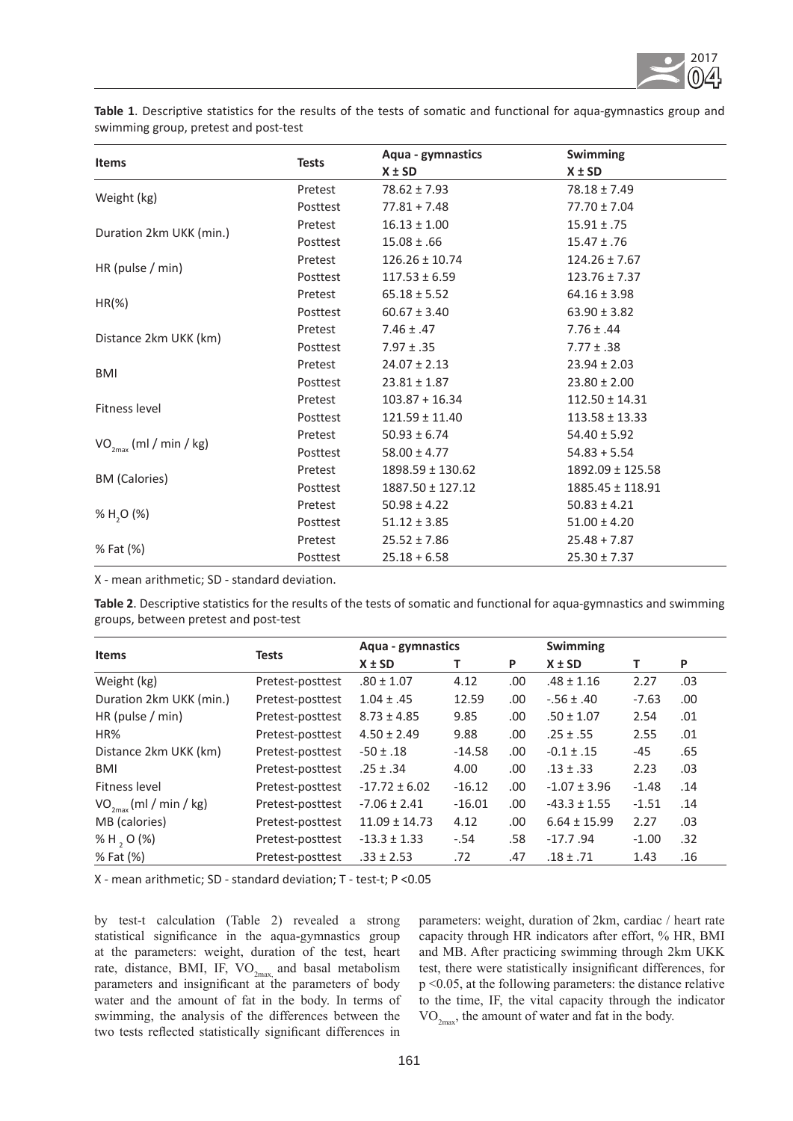

**Table 1**. Descriptive statistics for the results of the tests of somatic and functional for aqua-gymnastics group and swimming group, pretest and post-test

|                             |              | Aqua - gymnastics    | Swimming             |  |  |
|-----------------------------|--------------|----------------------|----------------------|--|--|
| <b>Items</b>                | <b>Tests</b> | $X \pm SD$           | $X \pm SD$           |  |  |
|                             | Pretest      | $78.62 \pm 7.93$     | $78.18 \pm 7.49$     |  |  |
| Weight (kg)                 | Posttest     | $77.81 + 7.48$       | $77.70 \pm 7.04$     |  |  |
|                             | Pretest      | $16.13 \pm 1.00$     | $15.91 \pm .75$      |  |  |
| Duration 2km UKK (min.)     | Posttest     | $15.08 \pm .66$      | $15.47 \pm .76$      |  |  |
|                             | Pretest      | $126.26 \pm 10.74$   | $124.26 \pm 7.67$    |  |  |
| HR (pulse $/$ min)          | Posttest     | $117.53 \pm 6.59$    | $123.76 \pm 7.37$    |  |  |
|                             | Pretest      | $65.18 \pm 5.52$     | $64.16 \pm 3.98$     |  |  |
| $HR(\%)$                    | Posttest     | $60.67 \pm 3.40$     | $63.90 \pm 3.82$     |  |  |
|                             | Pretest      | $7.46 \pm .47$       | $7.76 \pm .44$       |  |  |
| Distance 2km UKK (km)       | Posttest     | $7.97 \pm .35$       | $7.77 \pm .38$       |  |  |
|                             | Pretest      | $24.07 \pm 2.13$     | $23.94 \pm 2.03$     |  |  |
| <b>BMI</b>                  | Posttest     | $23.81 \pm 1.87$     | $23.80 \pm 2.00$     |  |  |
|                             | Pretest      | $103.87 + 16.34$     | $112.50 \pm 14.31$   |  |  |
| Fitness level               | Posttest     | $121.59 \pm 11.40$   | $113.58 \pm 13.33$   |  |  |
|                             | Pretest      | $50.93 \pm 6.74$     | $54.40 \pm 5.92$     |  |  |
| $VO_{2max}$ (ml / min / kg) | Posttest     | $58.00 \pm 4.77$     | $54.83 + 5.54$       |  |  |
|                             | Pretest      | $1898.59 \pm 130.62$ | $1892.09 \pm 125.58$ |  |  |
| <b>BM</b> (Calories)        | Posttest     | $1887.50 \pm 127.12$ | $1885.45 \pm 118.91$ |  |  |
|                             | Pretest      | $50.98 \pm 4.22$     | $50.83 \pm 4.21$     |  |  |
| % $H, O (%)$                | Posttest     | $51.12 \pm 3.85$     | $51.00 \pm 4.20$     |  |  |
|                             | Pretest      | $25.52 \pm 7.86$     | $25.48 + 7.87$       |  |  |
| % Fat (%)                   | Posttest     | $25.18 + 6.58$       | $25.30 \pm 7.37$     |  |  |

X - mean arithmetic; SD - standard deviation.

**Table 2**. Descriptive statistics for the results of the tests of somatic and functional for aqua-gymnastics and swimming groups, between pretest and post-test

|                         | <b>Tests</b>     | Aqua - gymnastics |          |      | <b>Swimming</b>  |         |      |
|-------------------------|------------------|-------------------|----------|------|------------------|---------|------|
| <b>Items</b>            |                  | $X \pm SD$        |          | P    | $X \pm SD$       |         | P    |
| Weight (kg)             | Pretest-posttest | $.80 \pm 1.07$    | 4.12     | .00  | $.48 \pm 1.16$   | 2.27    | .03  |
| Duration 2km UKK (min.) | Pretest-posttest | $1.04 \pm .45$    | 12.59    | .00  | $-0.56 \pm 0.40$ | $-7.63$ | .00. |
| HR (pulse / $min$ )     | Pretest-posttest | $8.73 \pm 4.85$   | 9.85     | .00  | $.50 \pm 1.07$   | 2.54    | .01  |
| HR%                     | Pretest-posttest | $4.50 \pm 2.49$   | 9.88     | .00  | $.25 \pm .55$    | 2.55    | .01  |
| Distance 2km UKK (km)   | Pretest-posttest | $-50 \pm .18$     | $-14.58$ | .00. | $-0.1 \pm .15$   | $-45$   | .65  |
| BMI                     | Pretest-posttest | $.25 \pm .34$     | 4.00     | .00  | $.13 \pm .33$    | 2.23    | .03  |
| Fitness level           | Pretest-posttest | $-17.72 \pm 6.02$ | $-16.12$ | .00. | $-1.07 \pm 3.96$ | $-1.48$ | .14  |
| $VO_{2max}(ml/min/kg)$  | Pretest-posttest | $-7.06 \pm 2.41$  | $-16.01$ | .00. | $-43.3 \pm 1.55$ | $-1.51$ | .14  |
| MB (calories)           | Pretest-posttest | $11.09 \pm 14.73$ | 4.12     | .00  | $6.64 \pm 15.99$ | 2.27    | .03  |
| % H, O $(\%)$           | Pretest-posttest | $-13.3 \pm 1.33$  | $-.54$   | .58  | $-17.7.94$       | $-1.00$ | .32  |
| % Fat (%)               | Pretest-posttest | $.33 \pm 2.53$    | .72      | .47  | $.18 \pm .71$    | 1.43    | .16  |

X - mean arithmetic; SD - standard deviation; T - test-t; P <0.05

by test-t calculation (Table 2) revealed a strong statistical significance in the aqua-gymnastics group at the parameters: weight, duration of the test, heart rate, distance, BMI, IF,  $VO_{2max}$  and basal metabolism parameters and insignificant at the parameters of body water and the amount of fat in the body. In terms of swimming, the analysis of the differences between the two tests reflected statistically significant differences in

parameters: weight, duration of 2km, cardiac / heart rate capacity through HR indicators after effort, % HR, BMI and MB. After practicing swimming through 2km UKK test, there were statistically insignificant differences, for p <0.05, at the following parameters: the distance relative to the time, IF, the vital capacity through the indicator  $VO_{2<sub>max</sub>}$ , the amount of water and fat in the body.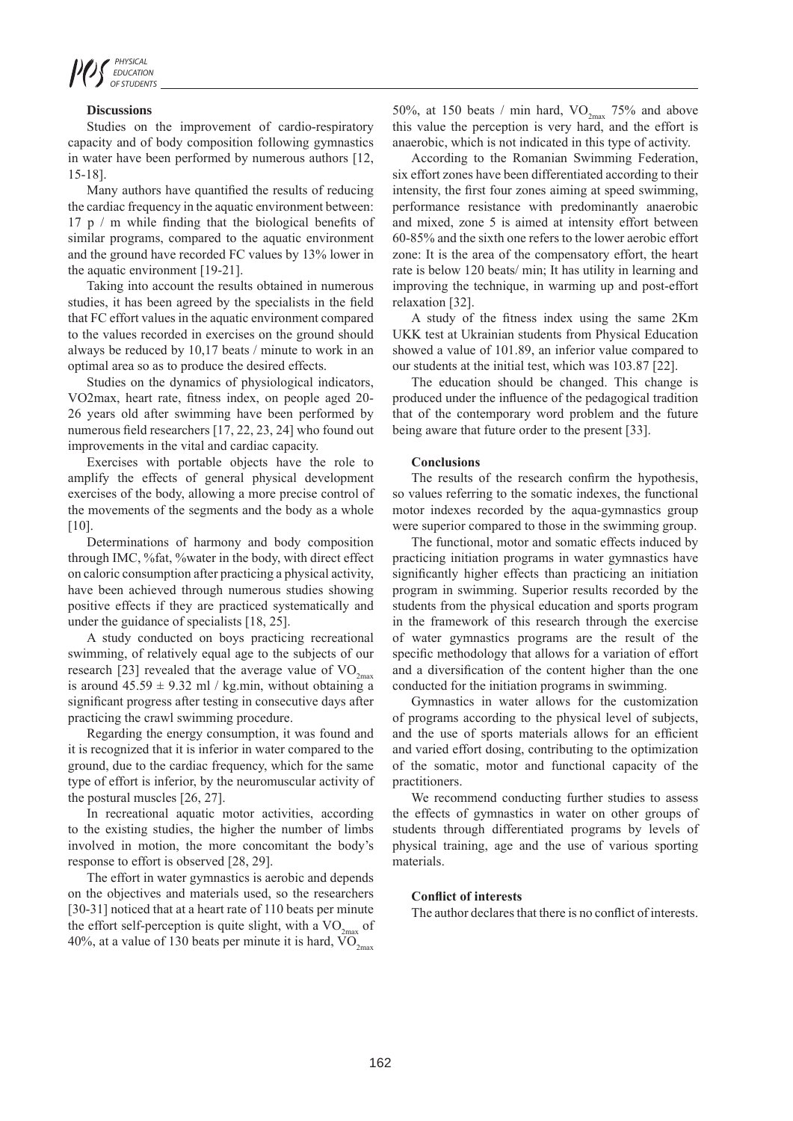

## **Discussions**

Studies on the improvement of cardio-respiratory capacity and of body composition following gymnastics in water have been performed by numerous authors [12, 15-18].

Many authors have quantified the results of reducing the cardiac frequency in the aquatic environment between: 17 p / m while finding that the biological benefits of similar programs, compared to the aquatic environment and the ground have recorded FC values by 13% lower in the aquatic environment [19-21].

Taking into account the results obtained in numerous studies, it has been agreed by the specialists in the field that FC effort values in the aquatic environment compared to the values recorded in exercises on the ground should always be reduced by 10,17 beats / minute to work in an optimal area so as to produce the desired effects.

Studies on the dynamics of physiological indicators, VO2max, heart rate, fitness index, on people aged 20- 26 years old after swimming have been performed by numerous field researchers [17, 22, 23, 24] who found out improvements in the vital and cardiac capacity.

Exercises with portable objects have the role to amplify the effects of general physical development exercises of the body, allowing a more precise control of the movements of the segments and the body as a whole [10].

Determinations of harmony and body composition through IMC, %fat, %water in the body, with direct effect on caloric consumption after practicing a physical activity, have been achieved through numerous studies showing positive effects if they are practiced systematically and under the guidance of specialists [18, 25].

A study conducted on boys practicing recreational swimming, of relatively equal age to the subjects of our research [23] revealed that the average value of  $VO_{2m}$ is around  $45.59 \pm 9.32$  ml / kg.min, without obtaining a significant progress after testing in consecutive days after practicing the crawl swimming procedure.

Regarding the energy consumption, it was found and it is recognized that it is inferior in water compared to the ground, due to the cardiac frequency, which for the same type of effort is inferior, by the neuromuscular activity of the postural muscles [26, 27].

In recreational aquatic motor activities, according to the existing studies, the higher the number of limbs involved in motion, the more concomitant the body's response to effort is observed [28, 29].

The effort in water gymnastics is aerobic and depends on the objectives and materials used, so the researchers [30-31] noticed that at a heart rate of 110 beats per minute the effort self-perception is quite slight, with a  $VO<sub>2</sub>$  of 40%, at a value of 130 beats per minute it is hard,  $\overline{VO}_{2\text{max}}$ 

50%, at 150 beats / min hard,  $VO_{2max}$  75% and above this value the perception is very hard, and the effort is anaerobic, which is not indicated in this type of activity.

According to the Romanian Swimming Federation, six effort zones have been differentiated according to their intensity, the first four zones aiming at speed swimming, performance resistance with predominantly anaerobic and mixed, zone 5 is aimed at intensity effort between 60-85% and the sixth one refers to the lower aerobic effort zone: It is the area of the compensatory effort, the heart rate is below 120 beats/ min; It has utility in learning and improving the technique, in warming up and post-effort relaxation [32].

A study of the fitness index using the same 2Km UKK test at Ukrainian students from Physical Education showed a value of 101.89, an inferior value compared to our students at the initial test, which was 103.87 [22].

The education should be changed. This change is produced under the influence of the pedagogical tradition that of the contemporary word problem and the future being aware that future order to the present [33].

### **Conclusions**

The results of the research confirm the hypothesis, so values referring to the somatic indexes, the functional motor indexes recorded by the aqua-gymnastics group were superior compared to those in the swimming group.

The functional, motor and somatic effects induced by practicing initiation programs in water gymnastics have significantly higher effects than practicing an initiation program in swimming. Superior results recorded by the students from the physical education and sports program in the framework of this research through the exercise of water gymnastics programs are the result of the specific methodology that allows for a variation of effort and a diversification of the content higher than the one conducted for the initiation programs in swimming.

Gymnastics in water allows for the customization of programs according to the physical level of subjects, and the use of sports materials allows for an efficient and varied effort dosing, contributing to the optimization of the somatic, motor and functional capacity of the practitioners.

We recommend conducting further studies to assess the effects of gymnastics in water on other groups of students through differentiated programs by levels of physical training, age and the use of various sporting materials.

# **Conflict of interests**

The author declares that there is no conflict of interests.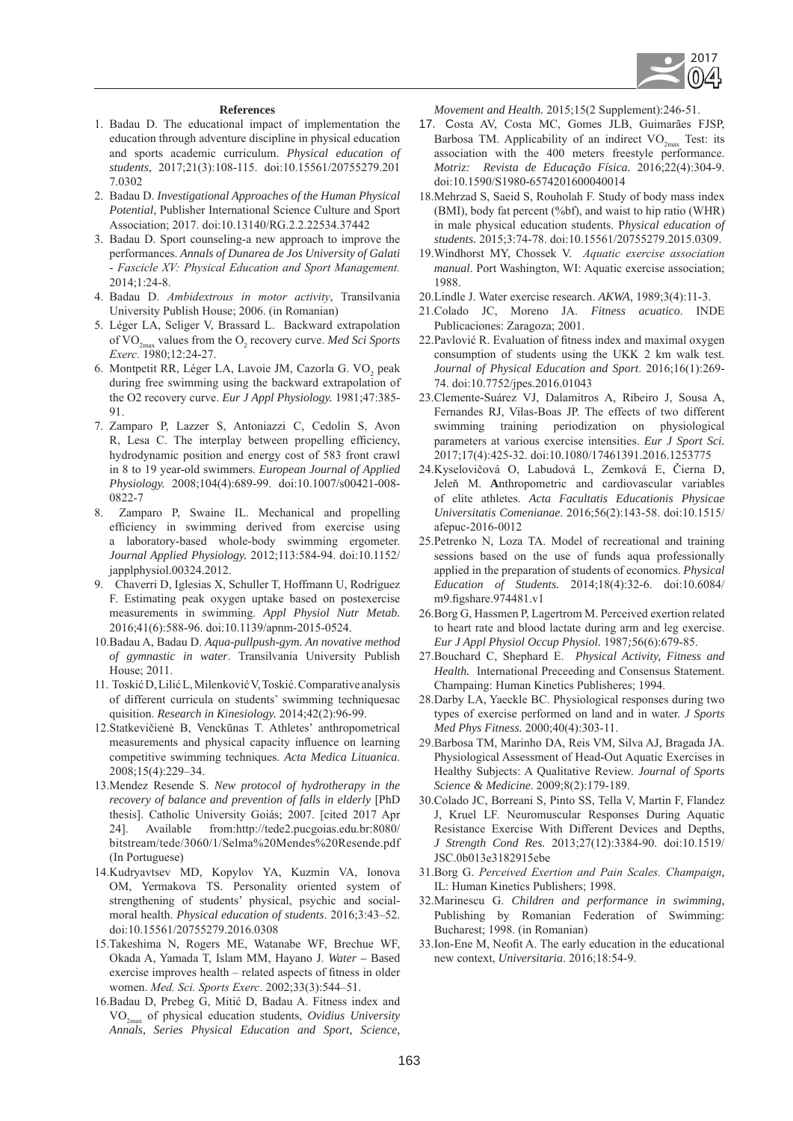

## **References**

- 1. Badau D. The educational impact of implementation the education through adventure discipline in physical education and sports academic curriculum. *Physical education of students*, 2017;21(3):108-115. doi:10.15561/20755279.201 7.0302
- 2. Badau D. *Investigational Approaches of the Human Physical Potential*, Publisher International Science Culture and Sport Association; 2017. doi:10.13140/RG.2.2.22534.37442
- 3. Badau D. Sport counseling-a new approach to improve the performances. *Annals of Dunarea de Jos University of Galati - Fascicle XV: Physical Education and Sport Management.* 2014;1:24-8.
- 4. Badau D. *Ambidextrous in motor activity*, Transilvania University Publish House; 2006. (in Romanian)
- 5. Léger LA, Seliger V, Brassard L. Backward extrapolation of VO<sub>2max</sub> values from the O<sub>2</sub> recovery curve. *Med Sci Sports Exerc.* 1980;12:24-27.
- 6. Montpetit RR, Léger LA, Lavoie JM, Cazorla G. VO<sub>2</sub> peak during free swimming using the backward extrapolation of the O2 recovery curve. *Eur J Appl Physiology.* 1981;47:385- 91.
- 7. Zamparo P, Lazzer S, Antoniazzi C, Cedolin S, Avon R, Lesa C. The interplay between propelling efficiency, hydrodynamic position and energy cost of 583 front crawl in 8 to 19 year-old swimmers. *European Journal of Applied Physiology.* 2008;104(4):689-99. doi:10.1007/s00421-008- 0822-7
- 8. Zamparo P, Swaine IL. Mechanical and propelling efficiency in swimming derived from exercise using a laboratory-based whole-body swimming ergometer. *Journal Applied Physiology.* 2012;113:584-94. doi:10.1152/ japplphysiol.00324.2012.
- 9. Chaverri D, Iglesias X, Schuller T, Hoffmann U, Rodríguez F. Estimating peak oxygen uptake based on postexercise measurements in swimming. *Appl Physiol Nutr Metab.* 2016;41(6):588-96. doi:10.1139/apnm-2015-0524.
- 10.Badau A, Badau D. *Aqua-pullpush-gym. An novative method of gymnastic in water*. Transilvania University Publish House; 2011.
- 11. Toskić D, Lilić L, Milenković V, Toskić. Comparative analysis of different curricula on students' swimming techniquesac quisition. *Research in Kinesiology.* 2014;42(2):96-99.
- 12.Statkevičienė B, Venckūnas T. Athletes' anthropometrical measurements and physical capacity influence on learning competitive swimming techniques. *Acta Medica Lituanica*. 2008;15(4):229–34.
- 13.Mendez Resende S. *New protocol of hydrotherapy in the recovery of balance and prevention of falls in elderly* [PhD thesis]. Catholic University Goiás; 2007. [cited 2017 Apr 24]. Available from:http://tede2.pucgoias.edu.br:8080/ bitstream/tede/3060/1/Selma%20Mendes%20Resende.pdf (In Portuguese)
- 14.Kudryavtsev MD, Kopylov YA, Kuzmin VA, Ionova OM, Yermakova TS. Personality oriented system of strengthening of students' physical, psychic and socialmoral health. *Physical education of students*. 2016;3:43–52. doi:10.15561/20755279.2016.0308
- 15.Takeshima N, Rogers ME, Watanabe WF, Brechue WF, Okada A, Yamada T, Islam MM, Hayano J. *Water –* Based exercise improves health – related aspects of fitness in older women. *Med. Sci. Sports Exerc*. 2002;33(3):544–51.
- 16.Badau D, Prebeg G, Mitić D, Badau A. Fitness index and VO2max of physical education students, *Ovidius University Annals, Series Physical Education and Sport, Science,*

*Movement and Health.* 2015;15(2 Supplement):246-51.

- 17. Costa AV, Costa MC, Gomes JLB, Guimarães FJSP, Barbosa TM. Applicability of an indirect  $VO_{2max}$  Test: its association with the 400 meters freestyle performance. *Motriz: Revista de Educação Física.* 2016;22(4):304-9. doi:10.1590/S1980-6574201600040014
- 18.Mehrzad S, Saeid S, Rouholah F. Study of body mass index (BMI), body fat percent (%bf), and waist to hip ratio (WHR) in male physical education students. P*hysical education of students.* 2015;3:74-78. doi:10.15561/20755279.2015.0309.
- 19.Windhorst MY, Chossek V. *Aquatic exercise association manual*. Port Washington, WI: Aquatic exercise association; 1988.
- 20.Lindle J. Water exercise research. *AKWA,* 1989;3(4):11-3.
- 21.Colado JC, Moreno JA. *Fitness acuatico*. INDE Publicaciones: Zaragoza; 2001.
- 22.Pavlović R. Evaluation of fitness index and maximal oxygen consumption of students using the UKK 2 km walk test. *Journal of Physical Education and Sport*. 2016;16(1):269- 74. doi:10.7752/jpes.2016.01043
- 23.Clemente-Suárez VJ, Dalamitros A, Ribeiro J, Sousa A, Fernandes RJ, Vilas-Boas JP. The effects of two different swimming training periodization on physiological parameters at various exercise intensities. *Eur J Sport Sci.*  2017;17(4):425-32. doi:10.1080/17461391.2016.1253775
- 24.Kyselovičová O, Labudová L, Zemková E, Čierna D, Jeleň M. **A**nthropometric and cardiovascular variables of elite athletes. *Acta Facultatis Educationis Physicae Universitatis Comenianae*. 2016;56(2):143-58. doi:10.1515/ afepuc-2016-0012
- 25.Petrenko N, Loza TA. Model of recreational and training sessions based on the use of funds aqua professionally applied in the preparation of students of economics. *Physical Education of Students.* 2014;18(4):32-6. doi:10.6084/ m9.figshare.974481.v1
- 26.Borg G, Hassmen P, Lagertrom M. Perceived exertion related to heart rate and blood lactate during arm and leg exercise. *Eur J Appl Physiol Occup Physiol.* 1987*;*56(6):679-85.
- 27.Bouchard C, Shephard E. *Physical Activity, Fitness and Health.* International Preceeding and Consensus Statement. Champaing: Human Kinetics Publisheres; 1994.
- 28.Darby LA, Yaeckle BC. Physiological responses during two types of exercise performed on land and in water. *J Sports Med Phys Fitness.* 2000;40(4):303-11.
- 29.Barbosa TM, Marinho DA, Reis VM, Silva AJ, Bragada JA. Physiological Assessment of Head-Out Aquatic Exercises in Healthy Subjects: A Qualitative Review. *Journal of Sports Science & Medicine*. 2009;8(2):179-189.
- 30.Colado JC, Borreani S, Pinto SS, Tella V, Martin F, Flandez J, Kruel LF. Neuromuscular Responses During Aquatic Resistance Exercise With Different Devices and Depths, *J Strength Cond Res.* 2013;27(12):3384-90. doi:10.1519/ JSC.0b013e3182915ebe
- 31.Borg G. *Perceived Exertion and Pain Scales. Champaign*, IL: Human Kinetics Publishers; 1998.
- 32.Marinescu G. *Children and performance in swimming*, Publishing by Romanian Federation of Swimming: Bucharest; 1998. (in Romanian)
- 33.Ion-Ene M, Neofit A. The early education in the educational new context, *Universitaria*. 2016;18:54-9.